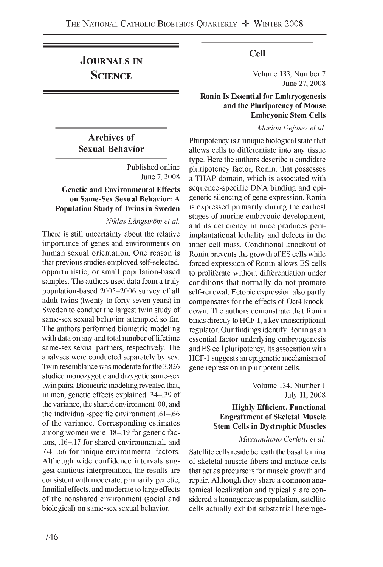# **Journals in Science**

# **Archives of Sexual Behavior**

Published online June 7, 2008

#### Genetic and Environmental Effects on Same-Sex Sexual Behavior: A Population Study of Twins in Sweden

#### *Niklas Langstrom et al.*

There is still uncertainty about the relative importance of genes and environments on human sexual orientation. One reason is that previous studies employed self-selected, opportunistic, or small population-based samples. The authors used data from a truly population-based 2005-2006 survey of all adult twins (twenty to forty seven years) in Sweden to conduct the largest twin study of same-sex sexual behavior attempted so far. The authors performed biometric modeling with data on any and total number of lifetime same-sex sexual partners, respectively. The analyses were conducted separately by sex. Twin resemblance was moderate for the 3,826 studied monozygotic and dizygotic same-sex twin pairs. Biometric modeling revealed that, in men, genetic effects explained .34-39 of the variance, the shared environment .00, and the individual-specific environment .61-.66 of the variance. Corresponding estimates among women were .18-.19 for genetic factors, .16-17 for shared environmental, and .64-.66 for unique environmental factors. Although wide confidence intervals suggest cautious interpretation, the results are consistent with moderate, primarily genetic, familial effects, and moderate to large effects of the nonshared environment (social and biological) on same-sex sexual behavior.

**Cell**

Volume 133, Number 7 June 27, 2008

#### Ronin Is Essential for Embryogenesis and the Pluripotency of Mouse Embryonic Stem Cells

*Marion Dejosez et al.*

Pluripotency is a unique biological state that allows cells to differentiate into any tissue type. Here the authors describe a candidate pluripotency factor, Ronin, that possesses a THAP domain, which is associated with sequence-specific DNA binding and epigenetic silencing of gene expression. Ronin is expressed primarily during the earliest stages of murine embryonic development, and its deficiency in mice produces periimplantational lethality and defects in the inner cell mass. Conditional knockout of Ronin prevents the growth of ES cells while forced expression of Ronin allows ES cells to proliferate without differentiation under conditions that normally do not promote self-renewal. Ectopic expression also partly compensates for the effects of Oct4 knockdown. The authors demonstrate that Ronin binds directly to HCF-1, a key transcriptional regulator. Our findings identify Ronin as an essential factor underlying embryogenesis and ES cell pluripotency. Its association with HCF-1 suggests an epigenetic mechanism of gene repression in pluripotent cells.

> Volume 134, Number 1 July 11, 2008

## Highly Efficient, Functional Engraftment of Skeletal Muscle Stem Cells in Dystrophic Muscles

#### *Massimiliano Cerletti et al.*

Satellite cells reside beneath the basal lamina of skeletal muscle fibers and include cells that act as precursors for muscle growth and repair. Although they share a common anatomical localization and typically are considered a homogeneous population, satellite cells actually exhibit substantial heteroge-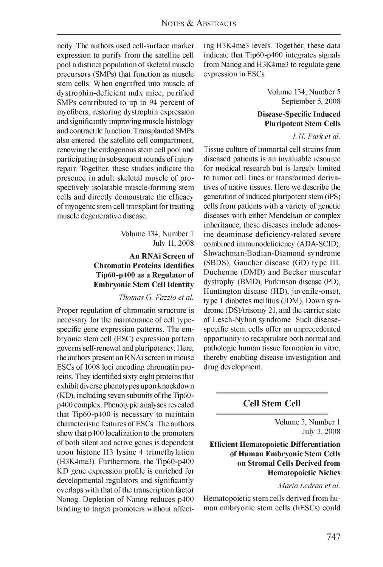neity. The authors used cell-surface marker expression to purify from the satellite cell pool a distinct population of skeletal muscle precursors (SMPs) that function as muscle stem cells. When engrafted into muscle of dystrophin-deficient mdx mice, purified SMPs contributed to up to 94 percent of myofibers, restoring dystrophin expression and significantly improving muscle histology and contractile function. Transplanted SMPs also entered the satellite cell compartment, renewing the endogenous stem cell pool and participating in subsequent rounds of injury repair. Together, these studies indicate the presence in adult skeletal muscle of prospectively isolatable muscle-forming stem cells and directly demonstrate the efficacy of myogenic stem cell transplant for treating muscle degenerative disease.

> Volume 134, Number 1 July 11, 2008

# An RNAi Screen of Chromatin Proteins Identifies Tip60-p400 as a Regulator of Embryonic Stem Cell Identity

*Thomas G. Fazzio et al.*

Proper regulation of chromatin structure is necessary for the maintenance of cell typespecific gene expression patterns. The embryonic stem cell (ESC) expression pattern governs self-renewal and pluripotency. Here, the authors present an RNAi screen in mouse ESCs of 1008 loci encoding chromatin proteins. They identified sixty eight proteins that exhibit diverse phenotypes upon knockdown (KD), including seven subunits of the Tip60 p400 complex. Phenotypic analyses revealed that Tip60-p400 is necessary to maintain characteristic features of ESCs. The authors show that p400 localization to the promoters of both silent and active genes is dependent upon histone H3 lysine 4 trimethylation (H3K4me3). Furthermore, the Tip60-p400 KD gene expression profile is enriched for developmental regulators and significantly overlaps with that of the transcription factor Nanog. Depletion of Nanog reduces p400 binding to target promoters without affecting H3K4me3 levels. Together, these data indicate that Tip60-p400 integrates signals from Nanog and H3K4me3 to regulate gene expression in ESCs.

> Volume 134, Number 5 September 5, 2008

## Disease-Specific Induced Pluripotent Stem Cells

*I. H. Park et al.*

Tissue culture of immortal cell strains from diseased patients is an invaluable resource for medical research but is largely limited to tumor cell lines or transformed derivatives of native tissues. Here we describe the generation of induced pluripotent stem (iPS) cells from patients with a variety of genetic diseases with either Mendelian or complex inheritance; these diseases include adenosine deaminase deficiency-related severe combined immunodeficiency (ADA-SCID), Shwachman-Bodian-Diamond syndrome (SBDS), Gaucher disease (GD) type III, Duchenne (DMD) and Becker muscular dystrophy (BMD), Parkinson disease (PD), Huntington disease (HD), juvenile-onset, type 1 diabetes mellitus (JDM), Down syndrome (DS)/trisomy 21, and the carrier state of Lesch-Nyhan syndrome. Such diseasespecific stem cells offer an unprecedented opportunity to recapitulate both normal and pathologic human tissue formation in vitro, thereby enabling disease investigation and drug development.

# **Cell Stem Cell**

Volume 3, Number 1 July 3, 2008

# Efficient Hematopoietic Differentiation of Human Embryonic Stem Cells on Stromal Cells Derived from Hematopoietic Niches

*Maria Ledran et al.*

Hematopoietic stem cells derived from human embryonic stem cells (hESCs) could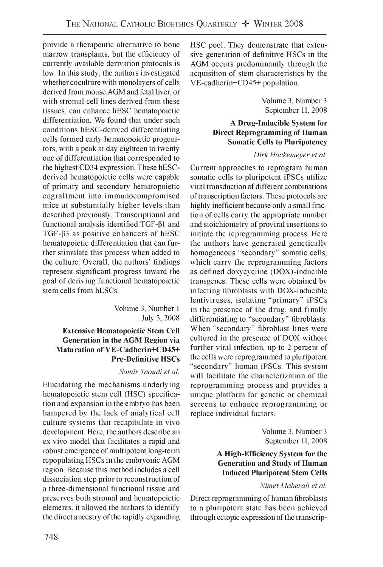provide a therapeutic alternative to bone marrow transplants, but the efficiency of currently available derivation protocols is low. In this study, the authors investigated whether coculture with monolayers of cells derived from mouse AGM and fetal liver, or with stromal cell lines derived from these tissues, can enhance hESC hematopoietic differentiation. We found that under such conditions hESC-derived differentiating cells formed early hematopoietic progenitors, with a peak at day eighteen to twenty one of differentiation that corresponded to the highest CD34 expression. These hESCderived hematopoietic cells were capable of primary and secondary hematopoietic engraftment into immunocompromised mice at substantially higher levels than described previously. Transcriptional and functional analysis identified  $TGF- $\beta$ 1$  and TGF- $\beta$ 3 as positive enhancers of hESC hematopoietic differentiation that can further stimulate this process when added to the culture. Overall, the authors' findings represent significant progress toward the goal of deriving functional hematopoietic stem cells from hESCs.

> Volume 3, Number 1 July 3, 2008

## Extensive Hematopoietic Stem Cell Generation in the AGM Region via Maturation of VE-Cadherin+CD45+ Pre-Definitive HSCs

#### *Samir Taoudi et al.*

Elucidating the mechanisms underlying hematopoietic stem cell (HSC) specification and expansion in the embryo has been hampered by the lack of analytical cell culture systems that recapitulate in vivo development. Here, the authors describe an ex vivo model that facilitates a rapid and robust emergence of multipotent long-term repopulating HSCs in the embryonic AGM region. Because this method includes a cell dissociation step prior to reconstruction of a three-dimensional functional tissue and preserves both stromal and hematopoietic elements, it allowed the authors to identify the direct ancestry of the rapidly expanding

HSC pool. They demonstrate that extensive generation of definitive HSCs in the AGM occurs predominantly through the acquisition of stem characteristics by the VE-cadherin+CD45+ population.

> Volume 3, Number 3 September 11, 2008

# A Drug-Inducible System for Direct Reprogramming of Human Somatic Cells to Pluripotency

#### *Dirk Hockemeyer et al.*

Current approaches to reprogram human somatic cells to pluripotent iPSCs utilize viral transduction of different combinations of transcription factors. These protocols are highly inefficient because only a small fraction of cells carry the appropriate number and stoichiometry of proviral insertions to initiate the reprogramming process. Here the authors have generated genetically homogeneous "secondary" somatic cells, which carry the reprogramming factors as defined doxycycline (DOX)-inducible transgenes. These cells were obtained by infecting fibroblasts with DOX-inducible lentiviruses, isolating "primary" iPSCs in the presence of the drug, and finally differentiating to "secondary" fibroblasts. When "secondary" fibroblast lines were cultured in the presence of DOX without further viral infection, up to 2 percent of the cells were reprogrammed to pluripotent "secondary" human iPSCs. This system will facilitate the characterization of the reprogramming process and provides a unique platform for genetic or chemical screens to enhance reprogramming or replace individual factors.

> Volume 3, Number 3 September 11, 2008

# A High-Efficiency System for the Generation and Study of Human Induced Pluripotent Stem Cells

#### *Nimet Maherali et al.*

Direct reprogramming of human fibroblasts to a pluripotent state has been achieved through ectopic expression of the transcrip-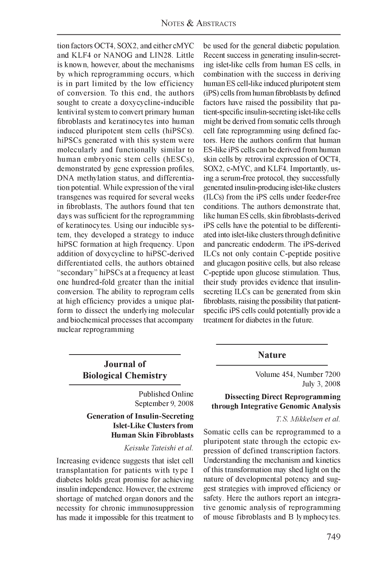tion factors OCT4, SOX2, and either cMYC and KLF4 or NANOG and LIN28. Little is known, however, about the mechanisms by which reprogramming occurs, which is in part limited by the low efficiency of conversion. To this end, the authors sought to create a doxycycline-inducible lentiviral system to convert primary human fibroblasts and keratinocytes into human induced pluripotent stem cells (hiPSCs). hiPSCs generated with this system were molecularly and functionally similar to human embryonic stem cells (hESCs), demonstrated by gene expression profiles, DNA methylation status, and differentiation potential. While expression of the viral transgenes was required for several weeks in fibroblasts, The authors found that ten days was sufficient for the reprogramming of keratinocytes. Using our inducible system, they developed a strategy to induce hiPSC formation at high frequency. Upon addition of doxycycline to hiPSC-derived differentiated cells, the authors obtained "secondary" hiPSCs at a frequency at least one hundred-fold greater than the initial conversion. The ability to reprogram cells at high efficiency provides a unique platform to dissect the underlying molecular and biochemical processes that accompany nuclear reprogramming

> **Journal of Biological Chemistry**

> > Published Online September 9, 2008

#### Generation of Insulin-Secreting Islet-Like Clusters from Human Skin Fibroblasts

#### *Keisuke Tateishi et al.*

Increasing evidence suggests that islet cell transplantation for patients with type I diabetes holds great promise for achieving insulin independence. However, the extreme shortage of matched organ donors and the necessity for chronic immunosuppression has made it impossible for this treatment to be used for the general diabetic population. Recent success in generating insulin-secreting islet-like cells from human ES cells, in combination with the success in deriving human ES cell-like induced pluripotent stem (iPS) cells from human fibroblasts by defined factors have raised the possibility that patient-specific insulin-secreting islet-like cells might be derived from somatic cells through cell fate reprogramming using defined factors. Here the authors confirm that human ES-like iPS cells can be derived from human skin cells by retroviral expression of OCT4, SOX2, c-MYC, and KLF4. Importantly, using a serum-free protocol, they successfully generated insulin-producing islet-like clusters (ILCs) from the iPS cells under feeder-free conditions. The authors demonstrate that, like human ES cells, skin fibroblasts-derived iPS cells have the potential to be differentiated into islet-like clusters through definitive and pancreatic endoderm. The iPS-derived ILCs not only contain C-peptide positive and glucagon positive cells, but also release C-peptide upon glucose stimulation. Thus, their study provides evidence that insulinsecreting ILCs can be generated from skin fibroblasts, raising the possibility that patientspecific iPS cells could potentially provide a treatment for diabetes in the future.

# **Nature**

Volume 454, Number 7200 July 3, 2008

#### Dissecting Direct Reprogramming through Integrative Genomic Analysis

#### *T. S. Mikkelsen et al.*

Somatic cells can be reprogrammed to a pluripotent state through the ectopic expression of defined transcription factors. Understanding the mechanism and kinetics of this transformation may shed light on the nature of developmental potency and suggest strategies with improved efficiency or safety. Here the authors report an integrative genomic analysis of reprogramming of mouse fibroblasts and B lymphocytes.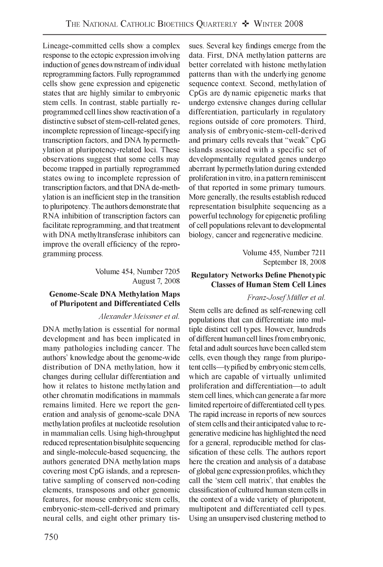Lineage-committed cells show a complex response to the ectopic expression involving induction of genes downstream of individual reprogramming factors. Fully reprogrammed cells show gene expression and epigenetic states that are highly similar to embryonic stem cells. In contrast, stable partially reprogrammed cell lines show reactivation of a distinctive subset of stem-cell-related genes, incomplete repression of lineage-specifying transcription factors, and DNA hypermethylation at pluripotency-related loci. These observations suggest that some cells may become trapped in partially reprogrammed states owing to incomplete repression of transcription factors, and that DNA de-methylation is an inefficient step in the transition to pluripotency. The authors demonstrate that RNA inhibition of transcription factors can facilitate reprogramming, and that treatment with DNA methyltransferase inhibitors can improve the overall efficiency of the reprogramming process.

> Volume 454, Number 7205 August 7, 2008

#### Genome-Scale DNA Methylation Maps of Pluripotent and Differentiated Cells

### *Alexander Meissner et al.*

DNA methylation is essential for normal development and has been implicated in many pathologies including cancer. The authors' knowledge about the genome-wide distribution of DNA methylation, how it changes during cellular differentiation and how it relates to histone methylation and other chromatin modifications in mammals remains limited. Here we report the generation and analysis of genome-scale DNA methylation profiles at nucleotide resolution in mammalian cells. Using high-throughput reduced representation bisulphite sequencing and single-molecule-based sequencing, the authors generated DNA methylation maps covering most CpG islands, and a representative sampling of conserved non-coding elements, transposons and other genomic features, for mouse embryonic stem cells, embryonic-stem-cell-derived and primary neural cells, and eight other primary tis-

sues. Several key findings emerge from the data. First, DNA methylation patterns are better correlated with histone methylation patterns than with the underlying genome sequence context. Second, methylation of CpGs are dynamic epigenetic marks that undergo extensive changes during cellular differentiation, particularly in regulatory regions outside of core promoters. Third, analysis of embryonic-stem-cell-derived and primary cells reveals that "weak" CpG islands associated with a specific set of developmentally regulated genes undergo aberrant hypermethylation during extended proliferation in vitro, in a pattern reminiscent of that reported in some primary tumours. More generally, the results establish reduced representation bisulphite sequencing as a powerful technology for epigenetic profiling of cell populations relevant to developmental biology, cancer and regenerative medicine.

> Volume 455, Number 7211 September 18, 2008

# Regulatory Networks Define Phenotypic Classes of Human Stem Cell Lines

#### *Franz-Josef Muller et al.*

Stem cells are defined as self-renewing cell populations that can differentiate into multiple distinct cell types. However, hundreds of different human cell lines from embryonic, fetal and adult sources have been called stem cells, even though they range from pluripotent cells—typified by embryonic stem cells, which are capable of virtually unlimited proliferation and differentiation—to adult stem cell lines, which can generate a far more limited repertoire of differentiated cell types. The rapid increase in reports of new sources of stem cells and their anticipated value to regenerative medicine has highlighted the need for a general, reproducible method for classification of these cells. The authors report here the creation and analysis of a database of global gene expression profiles, which they call the 'stem cell matrix', that enables the classification of cultured human stem cells in the context of a wide variety of pluripotent, multipotent and differentiated cell types. Using an unsupervised clustering method to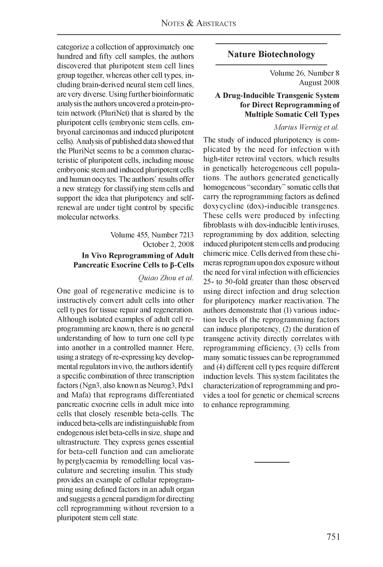categorize a collection of approximately one hundred and fifty cell samples, the authors discovered that pluripotent stem cell lines group together, whereas other cell types, including brain-derived neural stem cell lines, are very diverse. Using further bioinformatic analysis the authors uncovered a protein-protein network (PluriNet) that is shared by the pluripotent cells (embryonic stem cells, embryonal carcinomas and induced pluripotent cells). Analysis of published data showed that the PluriNet seems to be a common characteristic of pluripotent cells, including mouse embryonic stem and induced pluripotent cells and human oocytes. The authors' results offer a new strategy for classifying stem cells and support the idea that pluripotency and selfrenewal are under tight control by specific molecular networks.

# Volume 455, Number 7213 October 2, 2008 In Vivo Reprogramming of Adult Pancreatic Exocrine Cells to **B-Cells**

#### *Quiao Zhou et al.*

One goal of regenerative medicine is to instructively convert adult cells into other cell types for tissue repair and regeneration. Although isolated examples of adult cell reprogramming are known, there is no general understanding of how to turn one cell type into another in a controlled manner. Here, using a strategy of re-expressing key developmental regulators in vivo, the authors identify a specific combination of three transcription factors (Ngn3, also known as Neurog3, Pdxl and Mafa) that reprograms differentiated pancreatic exocrine cells in adult mice into cells that closely resemble beta-cells. The induced beta-cells are indistinguishable from endogenous islet beta-cells in size, shape and ultrastructure. They express genes essential for beta-cell function and can ameliorate hyperglycaemia by remodelling local vasculature and secreting insulin. This study provides an example of cellular reprogramming using defined factors in an adult organ and suggests a general paradigm for directing cell reprogramming without reversion to a pluripotent stem cell state.

#### **Nature Biotechnology**

Volume 26, Number 8 August 2008

## A Drug-Inducible Transgenic System for Direct Reprogramming of Multiple Somatic Cell Types

#### *Marius Wernig et al.*

The study of induced pluripotency is complicated by the need for infection with high-titer retroviral vectors, which results in genetically heterogeneous cell populations. The authors generated genetically homogeneous "secondary" somatic cells that carry the reprogramming factors as defined doxycycline (dox)-inducible transgenes. These cells were produced by infecting fibroblasts with dox-inducible lentiviruses, reprogramming by dox addition, selecting induced pluripotent stem cells and producing chimeric mice. Cells derived from these chimeras reprogram upon dox exposure without the need for viral infection with efficiencies 25- to 50-fold greater than those observed using direct infection and drug selection for pluripotency marker reactivation. The authors demonstrate that (1) various induction levels of the reprogramming factors can induce pluripotency, (2) the duration of transgene activity directly correlates with reprogramming efficiency, (3) cells from many somatic tissues can be reprogrammed and (4) different cell types require different induction levels. This system facilitates the characterization of reprogramming and provides a tool for genetic or chemical screens to enhance reprogramming.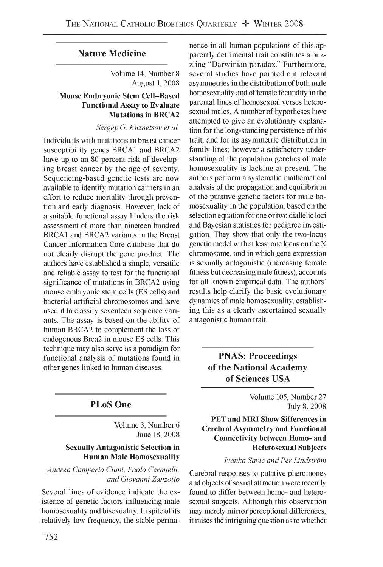# **Nature Medicine**

Volume 14, Number 8 August 1, 2008

## Mouse Embryonic Stem Cell-Based Functional Assay to Evaluate Mutations in BRCA2

*Sergey G. Kuznetsov et al.*

Individuals with mutations in breast cancer susceptibility genes BRCA1 and BRCA2 have up to an 80 percent risk of developing breast cancer by the age of seventy. Sequencing-based genetic tests are now available to identify mutation carriers in an effort to reduce mortality through prevention and early diagnosis. However, lack of a suitable functional assay hinders the risk assessment of more than nineteen hundred BRCA1 and BRCA2 variants in the Breast Cancer Information Core database that do not clearly disrupt the gene product. The authors have established a simple, versatile and reliable assay to test for the functional significance of mutations in BRCA2 using mouse embryonic stem cells (ES cells) and bacterial artificial chromosomes and have used it to classify seventeen sequence variants. The assay is based on the ability of human BRCA2 to complement the loss of endogenous Brca2 in mouse ES cells. This technique may also serve as a paradigm for functional analysis of mutations found in other genes linked to human diseases.

# **PLoS One**

Volume 3, Number 6 June 18, 2008

# Sexually Antagonistic Selection in Human Male Homosexuality

*Andrea Camperio Ciani, Paolo Cermielli, and Giovanni Zanzotto*

Several lines of evidence indicate the existence of genetic factors influencing male homosexuality and bisexuality. In spite of its relatively low frequency, the stable perma-

nence in all human populations of this apparently detrimental trait constitutes a puzzling "Darwinian paradox." Furthermore, several studies have pointed out relevant asymmetries in the distribution of both male homosexuality and of female fecundity in the parental lines of homosexual verses heterosexual males. A number of hypotheses have attempted to give an evolutionary explanation for the long-standing persistence of this trait, and for its asymmetric distribution in family lines; however a satisfactory understanding of the population genetics of male homosexuality is lacking at present. The authors perform a systematic mathematical analysis of the propagation and equilibrium of the putative genetic factors for male homosexuality in the population, based on the selection equation for one or two diallelic loci and Bayesian statistics for pedigree investigation. They show that only the two-locus genetic model with at least one locus on the X chromosome, and in which gene expression is sexually antagonistic (increasing female fitness but decreasing male fitness), accounts for all known empirical data. The authors' results help clarify the basic evolutionary dynamics of male homosexuality, establishing this as a clearly ascertained sexually antagonistic human trait.

> **PNAS: Proceedings of the National Academy of Sciences USA**

> > Volume 105, Number 27 July 8, 2008

#### PET and MRI Show Sifferences in Cerebral Asymmetry and Functional Connectivity between Homo- and Heterosexual Subjects

#### *Ivanka Savic and Per Lindstrom*

Cerebral responses to putative pheromones and objects of sexual attraction were recently found to differ between homo- and heterosexual subjects. Although this observation may merely mirror perceptional differences, it raises the intriguing question as to whether